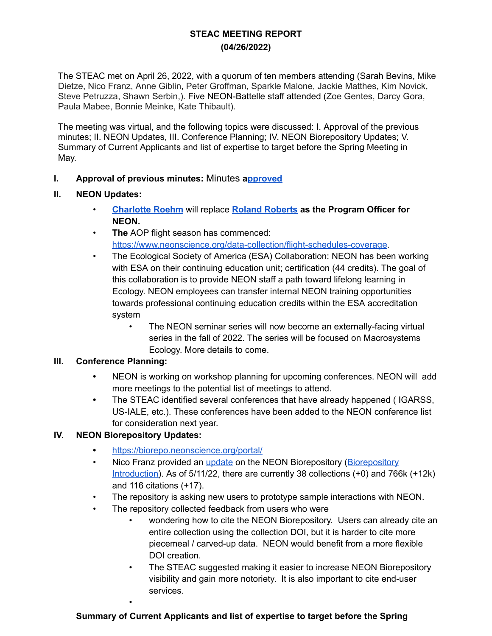# **STEAC MEETING REPORT (04/26/2022)**

The STEAC met on April 26, 2022, with a quorum of ten members attending (Sarah Bevins, Mike Dietze, Nico Franz, Anne Giblin, Peter Groffman, Sparkle Malone, Jackie Matthes, Kim Novick, Steve Petruzza, Shawn Serbin,). Five NEON-Battelle staff attended (Zoe Gentes, Darcy Gora, Paula Mabee, Bonnie Meinke, Kate Thibault).

The meeting was virtual, and the following topics were discussed: I. Approval of the previous minutes; II. NEON Updates, III. Conference Planning; IV. NEON Biorepository Updates; V. Summary of Current Applicants and list of expertise to target before the Spring Meeting in May.

## **I. Approval of previous minutes:** Minutes **[approved](https://docs.google.com/document/d/1u84r6c6glgH7uUT9rjzN6omoMLwtnRNTmmdxUOT9gHg/edit?usp=sharing)**

#### **II. NEON Updates:**

- **[Charlotte](https://nsf.gov/staff/staff_bio.jsp?lan=croehm&org=NSF&from_org=) Roehm** will replace **Roland [Roberts](https://www.nsf.gov/staff/staff_bio.jsp?lan=rolrober&from_org=DBI) as the Program Officer for NEON.**
- **The** AOP flight season has commenced: <https://www.neonscience.org/data-collection/flight-schedules-coverage>.
- The Ecological Society of America (ESA) Collaboration: NEON has been working with ESA on their continuing education unit; certification (44 credits). The goal of this collaboration is to provide NEON staff a path toward lifelong learning in Ecology. NEON employees can transfer internal NEON training opportunities towards professional continuing education credits within the ESA accreditation system
	- The NEON seminar series will now become an externally-facing virtual series in the fall of 2022. The series will be focused on Macrosystems Ecology. More details to come.

## **III. Conference Planning:**

- **•** NEON is working on workshop planning for upcoming conferences. NEON will add more meetings to the potential list of meetings to attend.
- **•** The STEAC identified several conferences that have already happened ( IGARSS, US-IALE, etc.). These conferences have been added to the NEON conference list for consideration next year.

## **IV. NEON Biorepository Updates:**

•

- **•** <https://biorepo.neonscience.org/portal/>
- Nico Franz provided an [update](https://drive.google.com/file/d/1GwDeyFFd-dJ_Pj4gVqOob2vs1oNH0vEm/view) on the NEON [Biorepository](https://drive.google.com/file/d/14xp8-iJFUZaRBmYT1cZgLYm04k2DKiAe/view) (Biorepository [Introduction](https://drive.google.com/file/d/14xp8-iJFUZaRBmYT1cZgLYm04k2DKiAe/view)). As of 5/11/22, there are currently 38 collections (+0) and 766k (+12k) and 116 citations (+17).
- The repository is asking new users to prototype sample interactions with NEON.
- The repository collected feedback from users who were
	- wondering how to cite the NEON Biorepository. Users can already cite an entire collection using the collection DOI, but it is harder to cite more piecemeal / carved-up data. NEON would benefit from a more flexible DOI creation.
	- The STEAC suggested making it easier to increase NEON Biorepository visibility and gain more notoriety. It is also important to cite end-user services.

## **Summary of Current Applicants and list of expertise to target before the Spring**